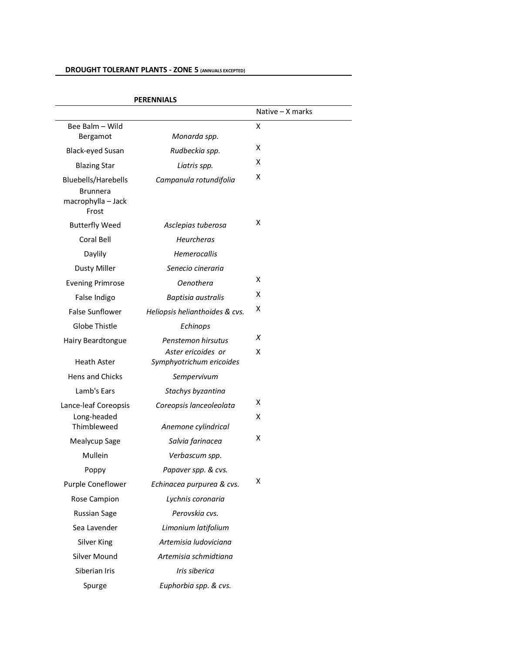# **DROUGHT TOLERANT PLANTS - ZONE 5 (ANNUALS EXCEPTED)**

|                                                                       |                                                | Native - X marks |
|-----------------------------------------------------------------------|------------------------------------------------|------------------|
| Bee Balm - Wild                                                       |                                                | X                |
| Bergamot                                                              | Monarda spp.                                   |                  |
| <b>Black-eyed Susan</b>                                               | Rudbeckia spp.                                 | x                |
| <b>Blazing Star</b>                                                   | Liatris spp.                                   | x                |
| Bluebells/Harebells<br><b>Brunnera</b><br>macrophylla - Jack<br>Frost | Campanula rotundifolia                         | x                |
| <b>Butterfly Weed</b>                                                 | Asclepias tuberosa                             | x                |
| Coral Bell                                                            | Heurcheras                                     |                  |
| Daylily                                                               | Hemerocallis                                   |                  |
| <b>Dusty Miller</b>                                                   | Senecio cineraria                              |                  |
| <b>Evening Primrose</b>                                               | <b>Oenothera</b>                               | x                |
| False Indigo                                                          | Baptisia australis                             | x                |
| <b>False Sunflower</b>                                                | Heliopsis helianthoides & cvs.                 | x                |
| Globe Thistle                                                         | Echinops                                       |                  |
| Hairy Beardtongue                                                     | Penstemon hirsutus                             | Х                |
| <b>Heath Aster</b>                                                    | Aster ericoides or<br>Symphyotrichum ericoides | x                |
| <b>Hens and Chicks</b>                                                | Sempervivum                                    |                  |
| Lamb's Ears                                                           | Stachys byzantina                              |                  |
| Lance-leaf Coreopsis                                                  | Coreopsis lanceoleolata                        | x                |
| Long-headed<br>Thimbleweed                                            | Anemone cylindrical                            | x                |
| Mealycup Sage                                                         | Salvia farinacea                               | X                |
| Mullein                                                               | Verbascum spp.                                 |                  |
| Poppy                                                                 | Papaver spp. & cvs.                            |                  |
| Purple Coneflower                                                     | Echinacea purpurea & cvs.                      | х                |
| Rose Campion                                                          | Lychnis coronaria                              |                  |
| <b>Russian Sage</b>                                                   | Perovskia cvs.                                 |                  |
| Sea Lavender                                                          | Limonium latifolium                            |                  |
| Silver King                                                           | Artemisia ludoviciana                          |                  |
| Silver Mound                                                          | Artemisia schmidtiana                          |                  |
| Siberian Iris                                                         | Iris siberica                                  |                  |
| Spurge                                                                | Euphorbia spp. & cvs.                          |                  |

#### **PERENNIALS**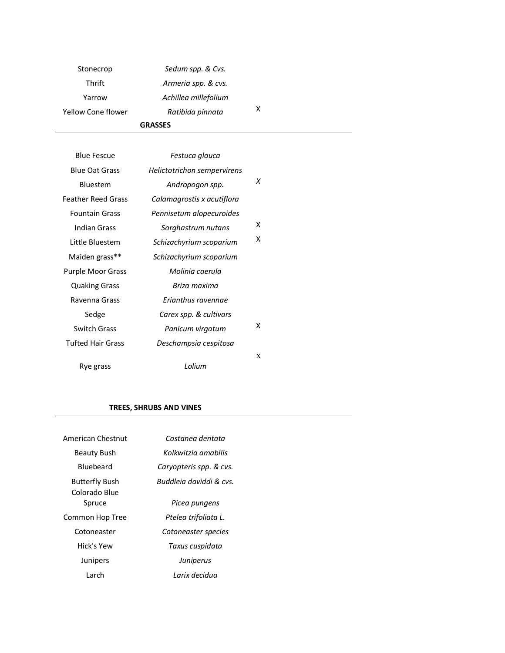| <b>GRASSES</b>     |                      |   |  |
|--------------------|----------------------|---|--|
| Yellow Cone flower | Ratibida pinnata     | x |  |
| Yarrow             | Achillea millefolium |   |  |
| Thrift             | Armeria spp. & cvs.  |   |  |
| Stonecrop          | Sedum spp. & Cvs.    |   |  |

| <b>Blue Fescue</b>        | Festuca glauca              |   |
|---------------------------|-----------------------------|---|
| <b>Blue Oat Grass</b>     | Helictotrichon sempervirens |   |
| <b>Bluestem</b>           | Andropogon spp.             | X |
| <b>Feather Reed Grass</b> | Calamagrostis x acutiflora  |   |
| <b>Fountain Grass</b>     | Pennisetum alopecuroides    |   |
| Indian Grass              | Sorghastrum nutans          | x |
| Little Bluestem           | Schizachyrium scoparium     | x |
| Maiden grass**            | Schizachyrium scoparium     |   |
| <b>Purple Moor Grass</b>  | Molinia caerula             |   |
| <b>Quaking Grass</b>      | Briza maxima                |   |
| Ravenna Grass             | Erianthus ravennae          |   |
| Sedge                     | Carex spp. & cultivars      |   |
| <b>Switch Grass</b>       | Panicum virgatum            | x |
| <b>Tufted Hair Grass</b>  | Deschampsia cespitosa       |   |
|                           |                             | X |
| Rye grass                 | I olium                     |   |

### **TREES, SHRUBS AND VINES**

| American Chestnut                      | Castanea dentata        |
|----------------------------------------|-------------------------|
| Beauty Bush                            | Kolkwitzia amabilis     |
| <b>Bluebeard</b>                       | Caryopteris spp. & cvs. |
| <b>Butterfly Bush</b><br>Colorado Blue | Buddleia daviddi & cvs. |
| Spruce                                 | Picea pungens           |
| Common Hop Tree                        | Ptelea trifoliata L.    |
| Cotoneaster                            | Cotoneaster species     |
| Hick's Yew                             | Taxus cuspidata         |
| Junipers                               | Juniperus               |
| I arch                                 | I arix decidua          |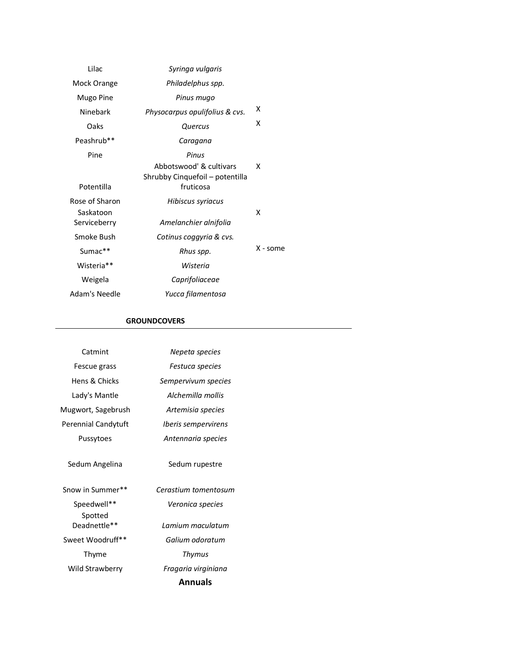| Lilac                     | Syringa vulgaris                                                                 |          |
|---------------------------|----------------------------------------------------------------------------------|----------|
| Mock Orange               | Philadelphus spp.                                                                |          |
| Mugo Pine                 | Pinus mugo                                                                       |          |
| Ninebark                  | Physocarpus opulifolius & cvs.                                                   | x        |
| Oaks                      | Quercus                                                                          | x        |
| Peashrub**                | Caragana                                                                         |          |
| Pine<br>Potentilla        | Pinus<br>Abbotswood' & cultivars<br>Shrubby Cinquefoil – potentilla<br>fruticosa | x        |
| Rose of Sharon            | Hibiscus syriacus                                                                |          |
| Saskatoon<br>Serviceberry | Amelanchier alnifolia                                                            | x        |
| Smoke Bush                | Cotinus coggyria & cvs.                                                          |          |
| $Sumac**$                 | Rhus spp.                                                                        | X - some |
| Wisteria**                | Wisteria                                                                         |          |
| Weigela                   | Caprifoliaceae                                                                   |          |
| Adam's Needle             | Yucca filamentosa                                                                |          |

### **GROUNDCOVERS**

| Catmint                  | Nepeta species                    |
|--------------------------|-----------------------------------|
| Fescue grass             | Festuca species                   |
| <b>Hens &amp; Chicks</b> | Sempervivum species               |
| Lady's Mantle            | Alchemilla mollis                 |
| Mugwort, Sagebrush       | Artemisia species                 |
| Perennial Candytuft      | <i><b>Iberis sempervirens</b></i> |
| Pussytoes                | Antennaria species                |
| Sedum Angelina           | Sedum rupestre                    |
| Snow in Summer**         | Cerastium tomentosum              |
| Speedwell**              | Veronica species                  |
| Spotted<br>Deadnettle**  | I amium maculatum                 |
| Sweet Woodruff**         | Galium odoratum                   |
| Thyme                    | Thymus                            |
| Wild Strawberry          | Fragaria virginiana               |
|                          | <b>Annuals</b>                    |